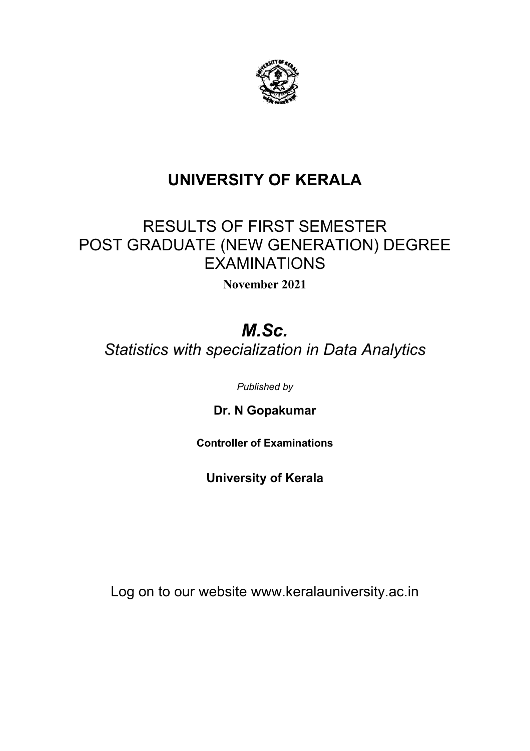

## RESULTS OF FIRST SEMESTER POST GRADUATE (NEW GENERATION) DEGREE EXAMINATIONS

**November 2021**

# *M.Sc.*

*Statistics with specialization in Data Analytics*

*Published by*

**Dr. N Gopakumar**

**Controller of Examinations**

**University of Kerala**

Log on to our website www.keralauniversity.ac.in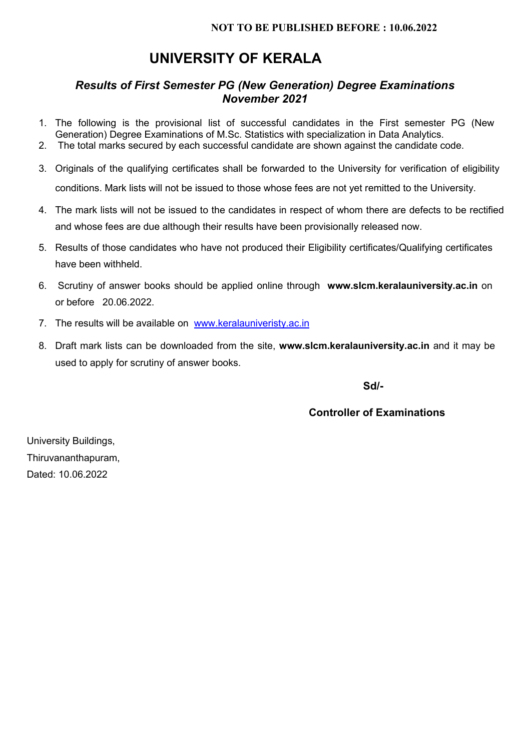#### *Results of First Semester PG (New Generation) Degree Examinations November 2021*

- 1. The following is the provisional list of successful candidates in the First semester PG (New Generation) Degree Examinations of M.Sc. Statistics with specialization in Data Analytics.
- 2. The total marks secured by each successful candidate are shown against the candidate code.
- 3. Originals of the qualifying certificates shall be forwarded to the University for verification of eligibility conditions. Mark lists will not be issued to those whose fees are not yet remitted to the University.
- 4. The mark lists will not be issued to the candidates in respect of whom there are defects to be rectified and whose fees are due although their results have been provisionally released now.
- 5. Results of those candidates who have not produced their Eligibility certificates/Qualifying certificates have been withheld.
- 6. Scrutiny of answer books should be applied online through **www.slcm.keralauniversity.ac.in** on or before 20.06.2022.
- 7. The results will be available on www.keralauniveristy.ac.in
- 8. Draft mark lists can be downloaded from the site, **www.slcm.keralauniversity.ac.in** and it may be used to apply for scrutiny of answer books.

**Sd/-**

#### **Controller of Examinations**

University Buildings, Thiruvananthapuram, Dated: 10.06.2022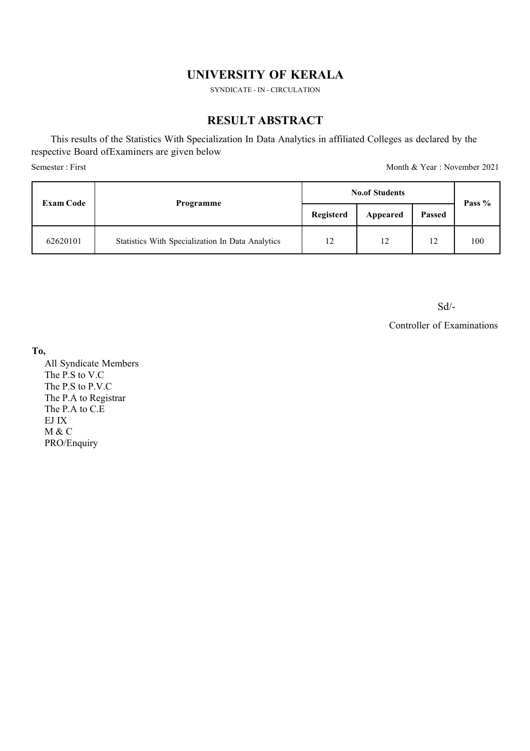SYNDICATE - IN - CIRCULATION

#### **RESULT ABSTRACT**

This results of the Statistics With Specialization In Data Analytics in affiliated Colleges as declared by the respective Board ofExaminers are given below Semester : First Month & Year : November 2021

| <b>Exam Code</b> | Programme                                        | <b>No.of Students</b> |                |                                  | Pass % |
|------------------|--------------------------------------------------|-----------------------|----------------|----------------------------------|--------|
|                  |                                                  | Registerd             | Appeared       | <b>Passed</b>                    |        |
| 62620101         | Statistics With Specialization In Data Analytics | 12                    | $\overline{1}$ | 1 <sub>2</sub><br>$\overline{1}$ | 100    |

Sd/-

Controller of Examinations

**To,**

All Syndicate Members The P.S to V.C The P.S to P.V.C The P.A to Registrar The P.A to C.E EJ IX M & C PRO/Enquiry